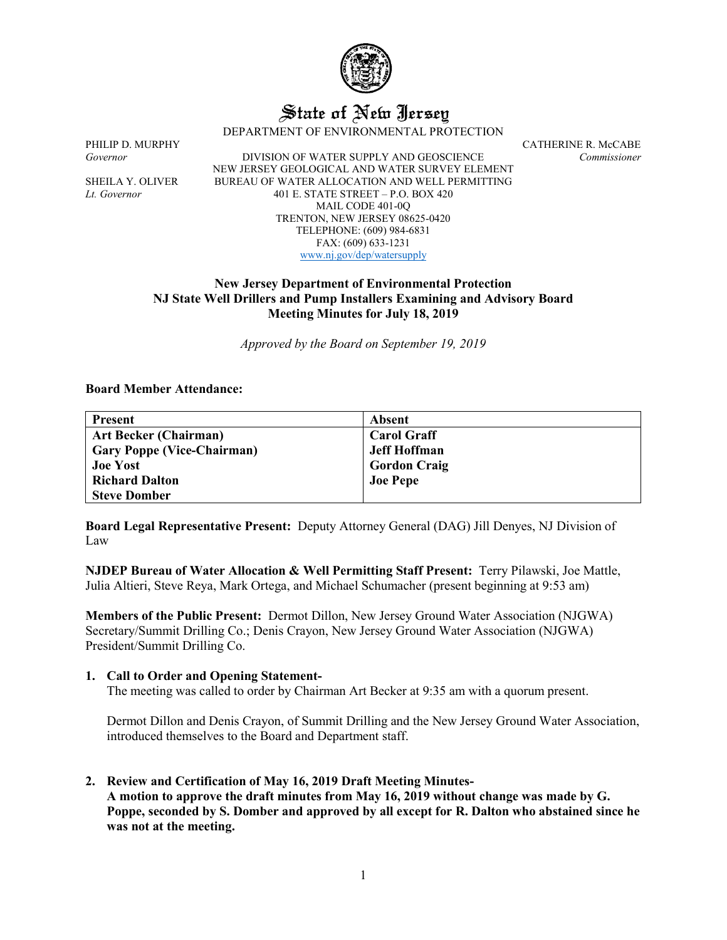

# State of New Jersey

DEPARTMENT OF ENVIRONMENTAL PROTECTION

PHILIP D. MURPHY CATHERINE R. McCABE<br>Governor DIVISION OF WATER SUPPLY AND GEOSCIENCE Commissioner *Governor* DIVISION OF WATER SUPPLY AND GEOSCIENCE *Commissioner* NEW JERSEY GEOLOGICAL AND WATER SURVEY ELEMENT SHEILA Y. OLIVER BUREAU OF WATER ALLOCATION AND WELL PERMITTING *Lt. Governor* 401 E. STATE STREET – P.O. BOX 420 MAIL CODE 401-0Q TRENTON, NEW JERSEY 08625-0420 TELEPHONE: (609) 984-6831 FAX: (609) 633-1231 [www.nj.gov/dep/watersupply](http://www.nj.gov/dep/watersupply)

## **New Jersey Department of Environmental Protection NJ State Well Drillers and Pump Installers Examining and Advisory Board Meeting Minutes for July 18, 2019**

*Approved by the Board on September 19, 2019*

#### **Board Member Attendance:**

| <b>Present</b>                    | Absent              |
|-----------------------------------|---------------------|
| <b>Art Becker (Chairman)</b>      | <b>Carol Graff</b>  |
| <b>Gary Poppe (Vice-Chairman)</b> | <b>Jeff Hoffman</b> |
| <b>Joe Yost</b>                   | <b>Gordon Craig</b> |
| <b>Richard Dalton</b>             | <b>Joe Pepe</b>     |
| <b>Steve Domber</b>               |                     |

**Board Legal Representative Present:** Deputy Attorney General (DAG) Jill Denyes, NJ Division of Law

**NJDEP Bureau of Water Allocation & Well Permitting Staff Present:** Terry Pilawski, Joe Mattle, Julia Altieri, Steve Reya, Mark Ortega, and Michael Schumacher (present beginning at 9:53 am)

**Members of the Public Present:** Dermot Dillon, New Jersey Ground Water Association (NJGWA) Secretary/Summit Drilling Co.; Denis Crayon, New Jersey Ground Water Association (NJGWA) President/Summit Drilling Co.

#### **1. Call to Order and Opening Statement-**

The meeting was called to order by Chairman Art Becker at 9:35 am with a quorum present.

Dermot Dillon and Denis Crayon, of Summit Drilling and the New Jersey Ground Water Association, introduced themselves to the Board and Department staff.

**2. Review and Certification of May 16, 2019 Draft Meeting Minutes-A motion to approve the draft minutes from May 16, 2019 without change was made by G. Poppe, seconded by S. Domber and approved by all except for R. Dalton who abstained since he was not at the meeting.**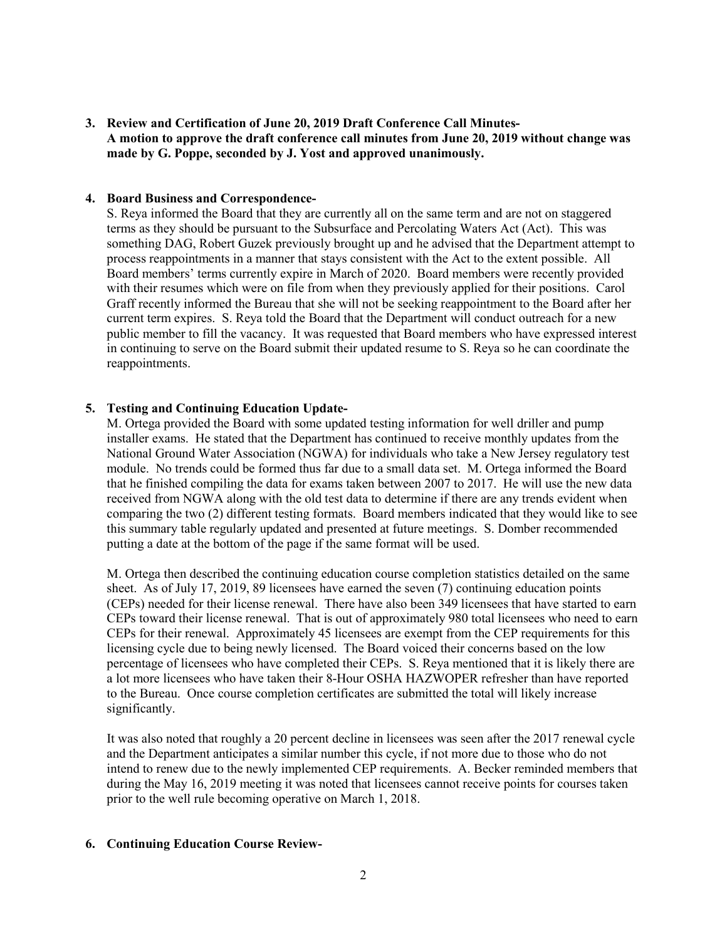**3. Review and Certification of June 20, 2019 Draft Conference Call Minutes-A motion to approve the draft conference call minutes from June 20, 2019 without change was made by G. Poppe, seconded by J. Yost and approved unanimously.**

#### **4. Board Business and Correspondence-**

S. Reya informed the Board that they are currently all on the same term and are not on staggered terms as they should be pursuant to the Subsurface and Percolating Waters Act (Act). This was something DAG, Robert Guzek previously brought up and he advised that the Department attempt to process reappointments in a manner that stays consistent with the Act to the extent possible. All Board members' terms currently expire in March of 2020. Board members were recently provided with their resumes which were on file from when they previously applied for their positions. Carol Graff recently informed the Bureau that she will not be seeking reappointment to the Board after her current term expires. S. Reya told the Board that the Department will conduct outreach for a new public member to fill the vacancy. It was requested that Board members who have expressed interest in continuing to serve on the Board submit their updated resume to S. Reya so he can coordinate the reappointments.

## **5. Testing and Continuing Education Update-**

M. Ortega provided the Board with some updated testing information for well driller and pump installer exams. He stated that the Department has continued to receive monthly updates from the National Ground Water Association (NGWA) for individuals who take a New Jersey regulatory test module. No trends could be formed thus far due to a small data set. M. Ortega informed the Board that he finished compiling the data for exams taken between 2007 to 2017. He will use the new data received from NGWA along with the old test data to determine if there are any trends evident when comparing the two (2) different testing formats. Board members indicated that they would like to see this summary table regularly updated and presented at future meetings. S. Domber recommended putting a date at the bottom of the page if the same format will be used.

M. Ortega then described the continuing education course completion statistics detailed on the same sheet. As of July 17, 2019, 89 licensees have earned the seven (7) continuing education points (CEPs) needed for their license renewal. There have also been 349 licensees that have started to earn CEPs toward their license renewal. That is out of approximately 980 total licensees who need to earn CEPs for their renewal. Approximately 45 licensees are exempt from the CEP requirements for this licensing cycle due to being newly licensed. The Board voiced their concerns based on the low percentage of licensees who have completed their CEPs. S. Reya mentioned that it is likely there are a lot more licensees who have taken their 8-Hour OSHA HAZWOPER refresher than have reported to the Bureau. Once course completion certificates are submitted the total will likely increase significantly.

It was also noted that roughly a 20 percent decline in licensees was seen after the 2017 renewal cycle and the Department anticipates a similar number this cycle, if not more due to those who do not intend to renew due to the newly implemented CEP requirements. A. Becker reminded members that during the May 16, 2019 meeting it was noted that licensees cannot receive points for courses taken prior to the well rule becoming operative on March 1, 2018.

## **6. Continuing Education Course Review-**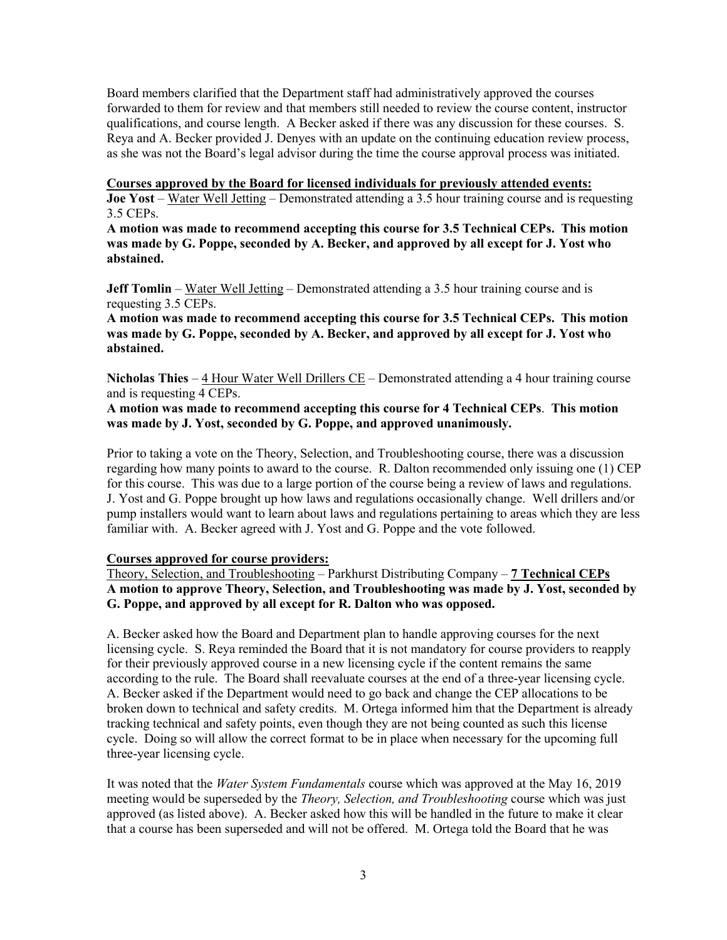Board members clarified that the Department staff had administratively approved the courses forwarded to them for review and that members still needed to review the course content, instructor qualifications, and course length. A Becker asked if there was any discussion for these courses. S. Reya and A. Becker provided J. Denyes with an update on the continuing education review process, as she was not the Board's legal advisor during the time the course approval process was initiated.

#### **Courses approved by the Board for licensed individuals for previously attended events:**

**Joe Yost** – Water Well Jetting – Demonstrated attending a 3.5 hour training course and is requesting 3.5 CEPs.

**A motion was made to recommend accepting this course for 3.5 Technical CEPs. This motion was made by G. Poppe, seconded by A. Becker, and approved by all except for J. Yost who abstained.**

**Jeff Tomlin** – Water Well Jetting – Demonstrated attending a 3.5 hour training course and is requesting 3.5 CEPs.

**A motion was made to recommend accepting this course for 3.5 Technical CEPs. This motion was made by G. Poppe, seconded by A. Becker, and approved by all except for J. Yost who abstained.**

**Nicholas Thies** – 4 Hour Water Well Drillers CE – Demonstrated attending a 4 hour training course and is requesting 4 CEPs.

## **A motion was made to recommend accepting this course for 4 Technical CEPs**. **This motion was made by J. Yost, seconded by G. Poppe, and approved unanimously.**

Prior to taking a vote on the Theory, Selection, and Troubleshooting course, there was a discussion regarding how many points to award to the course. R. Dalton recommended only issuing one (1) CEP for this course. This was due to a large portion of the course being a review of laws and regulations. J. Yost and G. Poppe brought up how laws and regulations occasionally change. Well drillers and/or pump installers would want to learn about laws and regulations pertaining to areas which they are less familiar with. A. Becker agreed with J. Yost and G. Poppe and the vote followed.

#### **Courses approved for course providers:**

Theory, Selection, and Troubleshooting – Parkhurst Distributing Company – **7 Technical CEPs A motion to approve Theory, Selection, and Troubleshooting was made by J. Yost, seconded by G. Poppe, and approved by all except for R. Dalton who was opposed.**

A. Becker asked how the Board and Department plan to handle approving courses for the next licensing cycle. S. Reya reminded the Board that it is not mandatory for course providers to reapply for their previously approved course in a new licensing cycle if the content remains the same according to the rule. The Board shall reevaluate courses at the end of a three-year licensing cycle. A. Becker asked if the Department would need to go back and change the CEP allocations to be broken down to technical and safety credits. M. Ortega informed him that the Department is already tracking technical and safety points, even though they are not being counted as such this license cycle. Doing so will allow the correct format to be in place when necessary for the upcoming full three-year licensing cycle.

It was noted that the *Water System Fundamentals* course which was approved at the May 16, 2019 meeting would be superseded by the *Theory, Selection, and Troubleshooting* course which was just approved (as listed above). A. Becker asked how this will be handled in the future to make it clear that a course has been superseded and will not be offered. M. Ortega told the Board that he was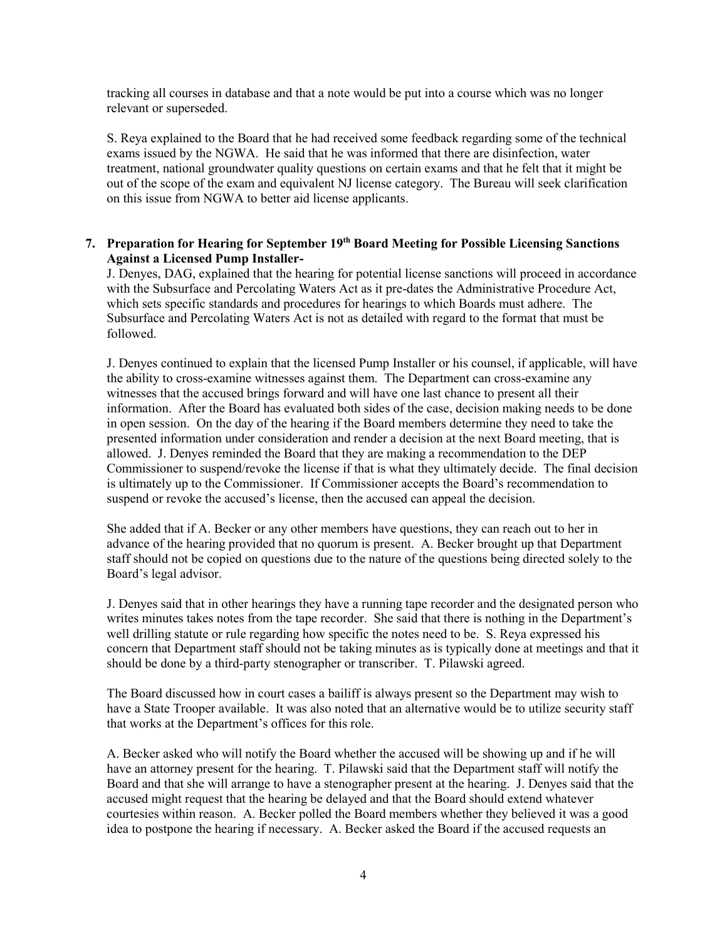tracking all courses in database and that a note would be put into a course which was no longer relevant or superseded.

S. Reya explained to the Board that he had received some feedback regarding some of the technical exams issued by the NGWA. He said that he was informed that there are disinfection, water treatment, national groundwater quality questions on certain exams and that he felt that it might be out of the scope of the exam and equivalent NJ license category. The Bureau will seek clarification on this issue from NGWA to better aid license applicants.

## **7. Preparation for Hearing for September 19th Board Meeting for Possible Licensing Sanctions Against a Licensed Pump Installer-**

J. Denyes, DAG, explained that the hearing for potential license sanctions will proceed in accordance with the Subsurface and Percolating Waters Act as it pre-dates the Administrative Procedure Act, which sets specific standards and procedures for hearings to which Boards must adhere. The Subsurface and Percolating Waters Act is not as detailed with regard to the format that must be followed.

J. Denyes continued to explain that the licensed Pump Installer or his counsel, if applicable, will have the ability to cross-examine witnesses against them. The Department can cross-examine any witnesses that the accused brings forward and will have one last chance to present all their information. After the Board has evaluated both sides of the case, decision making needs to be done in open session. On the day of the hearing if the Board members determine they need to take the presented information under consideration and render a decision at the next Board meeting, that is allowed. J. Denyes reminded the Board that they are making a recommendation to the DEP Commissioner to suspend/revoke the license if that is what they ultimately decide. The final decision is ultimately up to the Commissioner. If Commissioner accepts the Board's recommendation to suspend or revoke the accused's license, then the accused can appeal the decision.

She added that if A. Becker or any other members have questions, they can reach out to her in advance of the hearing provided that no quorum is present. A. Becker brought up that Department staff should not be copied on questions due to the nature of the questions being directed solely to the Board's legal advisor.

J. Denyes said that in other hearings they have a running tape recorder and the designated person who writes minutes takes notes from the tape recorder. She said that there is nothing in the Department's well drilling statute or rule regarding how specific the notes need to be. S. Reya expressed his concern that Department staff should not be taking minutes as is typically done at meetings and that it should be done by a third-party stenographer or transcriber. T. Pilawski agreed.

The Board discussed how in court cases a bailiff is always present so the Department may wish to have a State Trooper available. It was also noted that an alternative would be to utilize security staff that works at the Department's offices for this role.

A. Becker asked who will notify the Board whether the accused will be showing up and if he will have an attorney present for the hearing. T. Pilawski said that the Department staff will notify the Board and that she will arrange to have a stenographer present at the hearing. J. Denyes said that the accused might request that the hearing be delayed and that the Board should extend whatever courtesies within reason. A. Becker polled the Board members whether they believed it was a good idea to postpone the hearing if necessary. A. Becker asked the Board if the accused requests an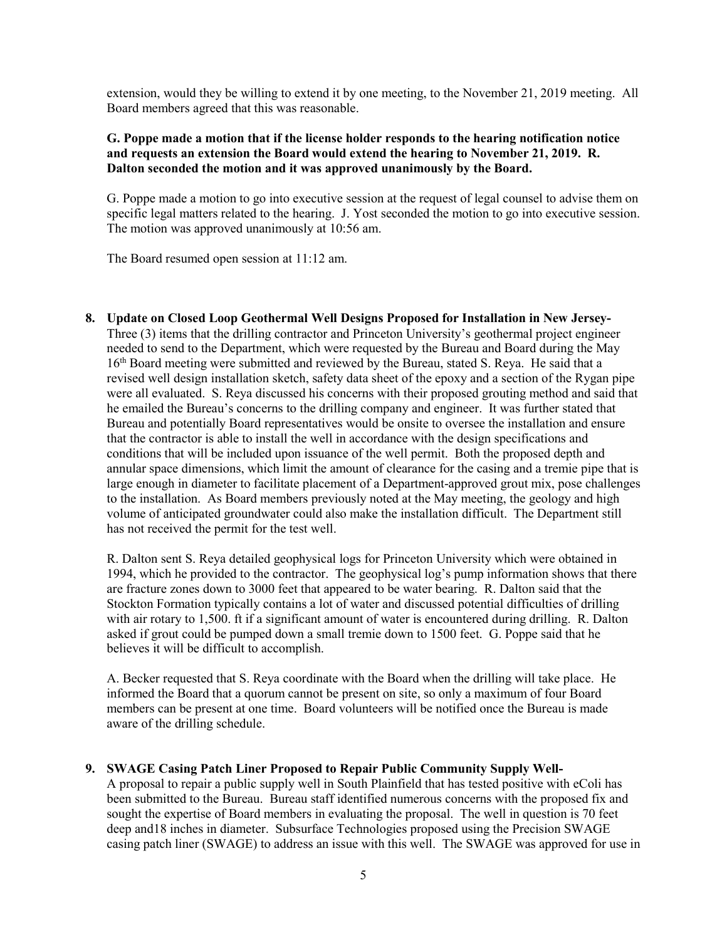extension, would they be willing to extend it by one meeting, to the November 21, 2019 meeting. All Board members agreed that this was reasonable.

## **G. Poppe made a motion that if the license holder responds to the hearing notification notice and requests an extension the Board would extend the hearing to November 21, 2019. R. Dalton seconded the motion and it was approved unanimously by the Board.**

G. Poppe made a motion to go into executive session at the request of legal counsel to advise them on specific legal matters related to the hearing. J. Yost seconded the motion to go into executive session. The motion was approved unanimously at 10:56 am.

The Board resumed open session at 11:12 am.

**8. Update on Closed Loop Geothermal Well Designs Proposed for Installation in New Jersey-**Three (3) items that the drilling contractor and Princeton University's geothermal project engineer needed to send to the Department, which were requested by the Bureau and Board during the May 16th Board meeting were submitted and reviewed by the Bureau, stated S. Reya. He said that a revised well design installation sketch, safety data sheet of the epoxy and a section of the Rygan pipe were all evaluated. S. Reya discussed his concerns with their proposed grouting method and said that he emailed the Bureau's concerns to the drilling company and engineer. It was further stated that Bureau and potentially Board representatives would be onsite to oversee the installation and ensure that the contractor is able to install the well in accordance with the design specifications and conditions that will be included upon issuance of the well permit. Both the proposed depth and annular space dimensions, which limit the amount of clearance for the casing and a tremie pipe that is large enough in diameter to facilitate placement of a Department-approved grout mix, pose challenges to the installation. As Board members previously noted at the May meeting, the geology and high volume of anticipated groundwater could also make the installation difficult. The Department still has not received the permit for the test well.

R. Dalton sent S. Reya detailed geophysical logs for Princeton University which were obtained in 1994, which he provided to the contractor. The geophysical log's pump information shows that there are fracture zones down to 3000 feet that appeared to be water bearing. R. Dalton said that the Stockton Formation typically contains a lot of water and discussed potential difficulties of drilling with air rotary to 1,500. ft if a significant amount of water is encountered during drilling. R. Dalton asked if grout could be pumped down a small tremie down to 1500 feet. G. Poppe said that he believes it will be difficult to accomplish.

A. Becker requested that S. Reya coordinate with the Board when the drilling will take place. He informed the Board that a quorum cannot be present on site, so only a maximum of four Board members can be present at one time. Board volunteers will be notified once the Bureau is made aware of the drilling schedule.

## **9. SWAGE Casing Patch Liner Proposed to Repair Public Community Supply Well-**

A proposal to repair a public supply well in South Plainfield that has tested positive with eColi has been submitted to the Bureau. Bureau staff identified numerous concerns with the proposed fix and sought the expertise of Board members in evaluating the proposal. The well in question is 70 feet deep and18 inches in diameter. Subsurface Technologies proposed using the Precision SWAGE casing patch liner (SWAGE) to address an issue with this well. The SWAGE was approved for use in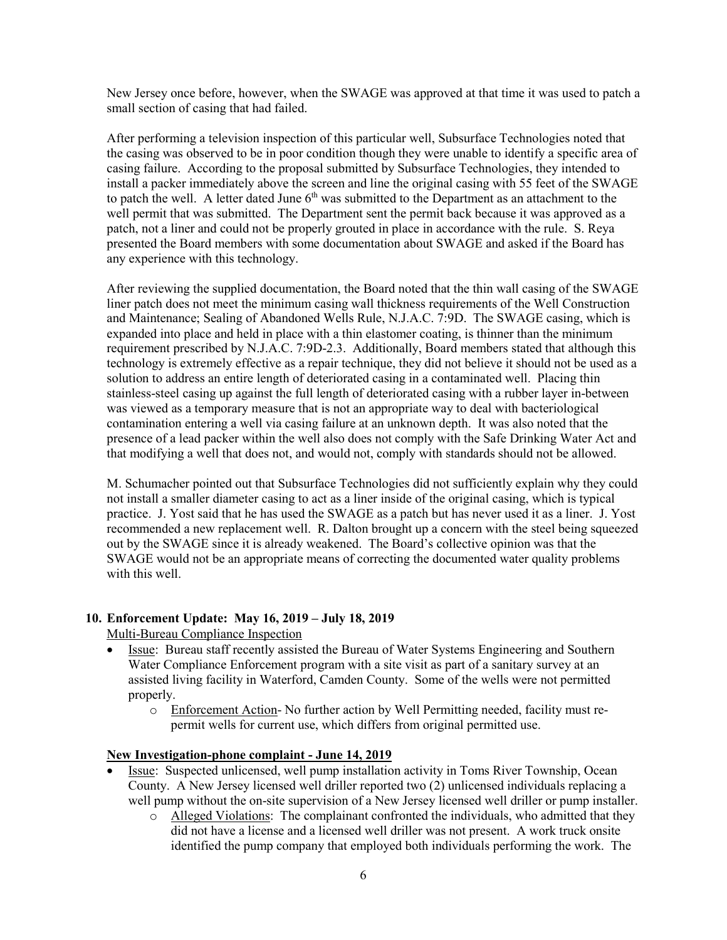New Jersey once before, however, when the SWAGE was approved at that time it was used to patch a small section of casing that had failed.

After performing a television inspection of this particular well, Subsurface Technologies noted that the casing was observed to be in poor condition though they were unable to identify a specific area of casing failure. According to the proposal submitted by Subsurface Technologies, they intended to install a packer immediately above the screen and line the original casing with 55 feet of the SWAGE to patch the well. A letter dated June  $6<sup>th</sup>$  was submitted to the Department as an attachment to the well permit that was submitted. The Department sent the permit back because it was approved as a patch, not a liner and could not be properly grouted in place in accordance with the rule. S. Reya presented the Board members with some documentation about SWAGE and asked if the Board has any experience with this technology.

After reviewing the supplied documentation, the Board noted that the thin wall casing of the SWAGE liner patch does not meet the minimum casing wall thickness requirements of the Well Construction and Maintenance; Sealing of Abandoned Wells Rule, N.J.A.C. 7:9D. The SWAGE casing, which is expanded into place and held in place with a thin elastomer coating, is thinner than the minimum requirement prescribed by N.J.A.C. 7:9D-2.3. Additionally, Board members stated that although this technology is extremely effective as a repair technique, they did not believe it should not be used as a solution to address an entire length of deteriorated casing in a contaminated well. Placing thin stainless-steel casing up against the full length of deteriorated casing with a rubber layer in-between was viewed as a temporary measure that is not an appropriate way to deal with bacteriological contamination entering a well via casing failure at an unknown depth. It was also noted that the presence of a lead packer within the well also does not comply with the Safe Drinking Water Act and that modifying a well that does not, and would not, comply with standards should not be allowed.

M. Schumacher pointed out that Subsurface Technologies did not sufficiently explain why they could not install a smaller diameter casing to act as a liner inside of the original casing, which is typical practice. J. Yost said that he has used the SWAGE as a patch but has never used it as a liner. J. Yost recommended a new replacement well. R. Dalton brought up a concern with the steel being squeezed out by the SWAGE since it is already weakened. The Board's collective opinion was that the SWAGE would not be an appropriate means of correcting the documented water quality problems with this well.

## **10. Enforcement Update: May 16, 2019 – July 18, 2019**

Multi-Bureau Compliance Inspection

- Issue: Bureau staff recently assisted the Bureau of Water Systems Engineering and Southern Water Compliance Enforcement program with a site visit as part of a sanitary survey at an assisted living facility in Waterford, Camden County. Some of the wells were not permitted properly.
	- o Enforcement Action- No further action by Well Permitting needed, facility must repermit wells for current use, which differs from original permitted use.

#### **New Investigation-phone complaint - June 14, 2019**

- Issue: Suspected unlicensed, well pump installation activity in Toms River Township, Ocean County. A New Jersey licensed well driller reported two (2) unlicensed individuals replacing a well pump without the on-site supervision of a New Jersey licensed well driller or pump installer.
	- o Alleged Violations: The complainant confronted the individuals, who admitted that they did not have a license and a licensed well driller was not present. A work truck onsite identified the pump company that employed both individuals performing the work. The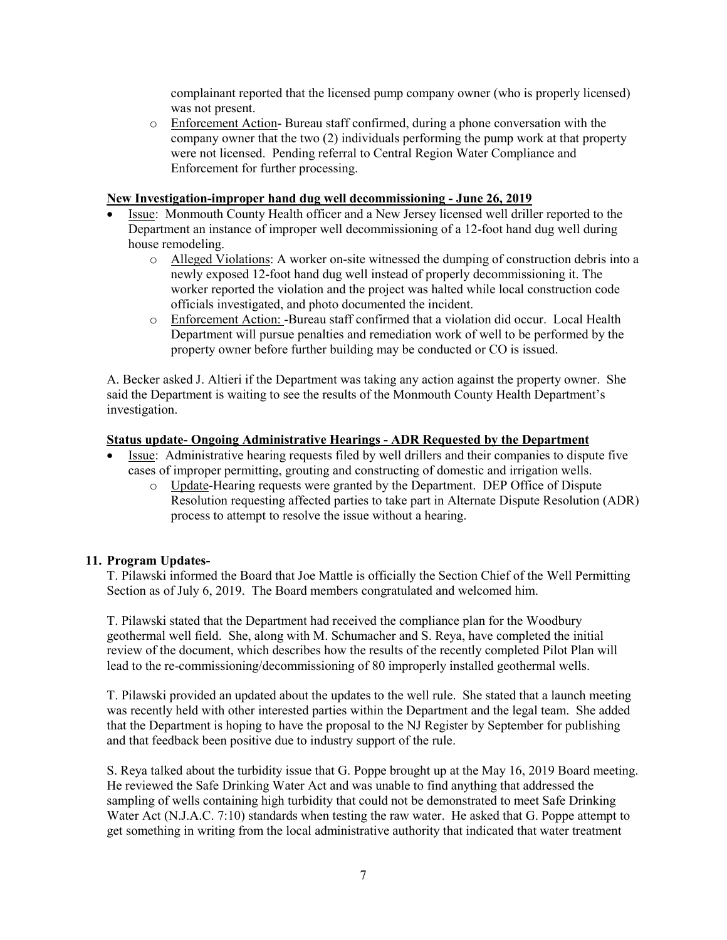complainant reported that the licensed pump company owner (who is properly licensed) was not present.

o Enforcement Action- Bureau staff confirmed, during a phone conversation with the company owner that the two (2) individuals performing the pump work at that property were not licensed. Pending referral to Central Region Water Compliance and Enforcement for further processing.

## **New Investigation-improper hand dug well decommissioning - June 26, 2019**

- Issue: Monmouth County Health officer and a New Jersey licensed well driller reported to the Department an instance of improper well decommissioning of a 12-foot hand dug well during house remodeling.
	- o Alleged Violations: A worker on-site witnessed the dumping of construction debris into a newly exposed 12-foot hand dug well instead of properly decommissioning it. The worker reported the violation and the project was halted while local construction code officials investigated, and photo documented the incident.
	- o Enforcement Action: -Bureau staff confirmed that a violation did occur. Local Health Department will pursue penalties and remediation work of well to be performed by the property owner before further building may be conducted or CO is issued.

A. Becker asked J. Altieri if the Department was taking any action against the property owner. She said the Department is waiting to see the results of the Monmouth County Health Department's investigation.

## **Status update- Ongoing Administrative Hearings - ADR Requested by the Department**

- Issue: Administrative hearing requests filed by well drillers and their companies to dispute five cases of improper permitting, grouting and constructing of domestic and irrigation wells.
	- o Update-Hearing requests were granted by the Department. DEP Office of Dispute Resolution requesting affected parties to take part in Alternate Dispute Resolution (ADR) process to attempt to resolve the issue without a hearing.

## **11. Program Updates-**

T. Pilawski informed the Board that Joe Mattle is officially the Section Chief of the Well Permitting Section as of July 6, 2019. The Board members congratulated and welcomed him.

T. Pilawski stated that the Department had received the compliance plan for the Woodbury geothermal well field. She, along with M. Schumacher and S. Reya, have completed the initial review of the document, which describes how the results of the recently completed Pilot Plan will lead to the re-commissioning/decommissioning of 80 improperly installed geothermal wells.

T. Pilawski provided an updated about the updates to the well rule. She stated that a launch meeting was recently held with other interested parties within the Department and the legal team. She added that the Department is hoping to have the proposal to the NJ Register by September for publishing and that feedback been positive due to industry support of the rule.

S. Reya talked about the turbidity issue that G. Poppe brought up at the May 16, 2019 Board meeting. He reviewed the Safe Drinking Water Act and was unable to find anything that addressed the sampling of wells containing high turbidity that could not be demonstrated to meet Safe Drinking Water Act (N.J.A.C. 7:10) standards when testing the raw water. He asked that G. Poppe attempt to get something in writing from the local administrative authority that indicated that water treatment